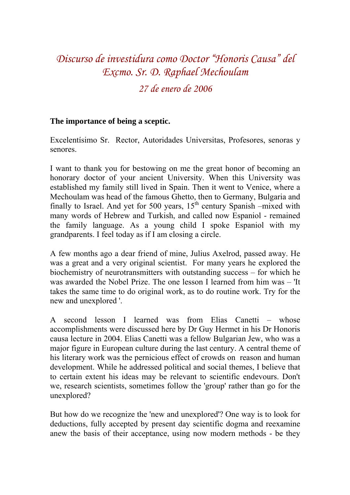## *Discurso de investidura como Doctor "Honoris Causa" del Excmo. Sr. D. Raphael Mechoulam*

## *27 de enero de 2006*

## **The importance of being a sceptic.**

Excelentísimo Sr. Rector, Autoridades Universitas, Profesores, senoras y senores.

I want to thank you for bestowing on me the great honor of becoming an honorary doctor of your ancient University. When this University was established my family still lived in Spain. Then it went to Venice, where a Mechoulam was head of the famous Ghetto, then to Germany, Bulgaria and finally to Israel. And yet for 500 years,  $15<sup>th</sup>$  century Spanish –mixed with many words of Hebrew and Turkish, and called now Espaniol - remained the family language. As a young child I spoke Espaniol with my grandparents. I feel today as if I am closing a circle.

A few months ago a dear friend of mine, Julius Axelrod, passed away. He was a great and a very original scientist. For many years he explored the biochemistry of neurotransmitters with outstanding success – for which he was awarded the Nobel Prize. The one lesson I learned from him was – 'It takes the same time to do original work, as to do routine work. Try for the new and unexplored '.

A second lesson I learned was from Elias Canetti – whose accomplishments were discussed here by Dr Guy Hermet in his Dr Honoris causa lecture in 2004. Elias Canetti was a fellow Bulgarian Jew, who was a major figure in European culture during the last century. A central theme of his literary work was the pernicious effect of crowds on reason and human development. While he addressed political and social themes, I believe that to certain extent his ideas may be relevant to scientific endevours. Don't we, research scientists, sometimes follow the 'group' rather than go for the unexplored?

But how do we recognize the 'new and unexplored'? One way is to look for deductions, fully accepted by present day scientific dogma and reexamine anew the basis of their acceptance, using now modern methods - be they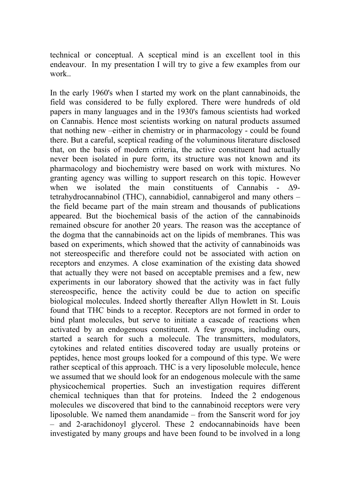technical or conceptual. A sceptical mind is an excellent tool in this endeavour. In my presentation I will try to give a few examples from our work..

In the early 1960's when I started my work on the plant cannabinoids, the field was considered to be fully explored. There were hundreds of old papers in many languages and in the 1930's famous scientists had worked on Cannabis. Hence most scientists working on natural products assumed that nothing new –either in chemistry or in pharmacology - could be found there. But a careful, sceptical reading of the voluminous literature disclosed that, on the basis of modern criteria, the active constituent had actually never been isolated in pure form, its structure was not known and its pharmacology and biochemistry were based on work with mixtures. No granting agency was willing to support research on this topic. However when we isolated the main constituents of Cannabis - Δ9tetrahydrocannabinol (THC), cannabidiol, cannabigerol and many others – the field became part of the main stream and thousands of publications appeared. But the biochemical basis of the action of the cannabinoids remained obscure for another 20 years. The reason was the acceptance of the dogma that the cannabinoids act on the lipids of membranes. This was based on experiments, which showed that the activity of cannabinoids was not stereospecific and therefore could not be associated with action on receptors and enzymes. A close examination of the existing data showed that actually they were not based on acceptable premises and a few, new experiments in our laboratory showed that the activity was in fact fully stereospecific, hence the activity could be due to action on specific biological molecules. Indeed shortly thereafter Allyn Howlett in St. Louis found that THC binds to a receptor. Receptors are not formed in order to bind plant molecules, but serve to initiate a cascade of reactions when activated by an endogenous constituent. A few groups, including ours, started a search for such a molecule. The transmitters, modulators, cytokines and related entities discovered today are usually proteins or peptides, hence most groups looked for a compound of this type. We were rather sceptical of this approach. THC is a very liposoluble molecule, hence we assumed that we should look for an endogenous molecule with the same physicochemical properties. Such an investigation requires different chemical techniques than that for proteins. Indeed the 2 endogenous molecules we discovered that bind to the cannabinoid receptors were very liposoluble. We named them anandamide – from the Sanscrit word for joy – and 2-arachidonoyl glycerol. These 2 endocannabinoids have been investigated by many groups and have been found to be involved in a long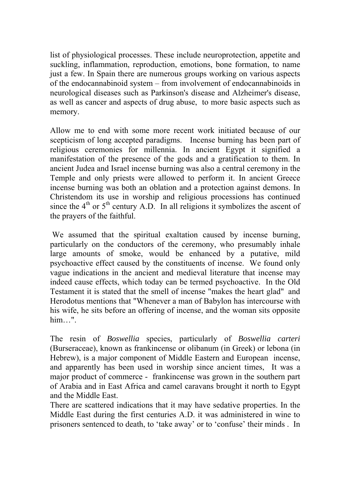list of physiological processes. These include neuroprotection, appetite and suckling, inflammation, reproduction, emotions, bone formation, to name just a few. In Spain there are numerous groups working on various aspects of the endocannabinoid system – from involvement of endocannabinoids in neurological diseases such as Parkinson's disease and Alzheimer's disease, as well as cancer and aspects of drug abuse, to more basic aspects such as memory.

Allow me to end with some more recent work initiated because of our scepticism of long accepted paradigms. Incense burning has been part of religious ceremonies for millennia. In ancient Egypt it signified a manifestation of the presence of the gods and a gratification to them. In ancient Judea and Israel incense burning was also a central ceremony in the Temple and only priests were allowed to perform it. In ancient Greece incense burning was both an oblation and a protection against demons. In Christendom its use in worship and religious processions has continued since the  $4<sup>th</sup>$  or  $5<sup>th</sup>$  century A.D. In all religions it symbolizes the ascent of the prayers of the faithful.

 We assumed that the spiritual exaltation caused by incense burning, particularly on the conductors of the ceremony, who presumably inhale large amounts of smoke, would be enhanced by a putative, mild psychoactive effect caused by the constituents of incense. We found only vague indications in the ancient and medieval literature that incense may indeed cause effects, which today can be termed psychoactive. In the Old Testament it is stated that the smell of incense "makes the heart glad" and Herodotus mentions that "Whenever a man of Babylon has intercourse with his wife, he sits before an offering of incense, and the woman sits opposite him…".

The resin of *Boswellia* species, particularly of *Boswellia carteri* (Burseraceae), known as frankincense or olibanum (in Greek) or lebona (in Hebrew), is a major component of Middle Eastern and European incense, and apparently has been used in worship since ancient times, It was a major product of commerce - frankincense was grown in the southern part of Arabia and in East Africa and camel caravans brought it north to Egypt and the Middle East.

There are scattered indications that it may have sedative properties. In the Middle East during the first centuries A.D. it was administered in wine to prisoners sentenced to death, to 'take away' or to 'confuse' their minds . In